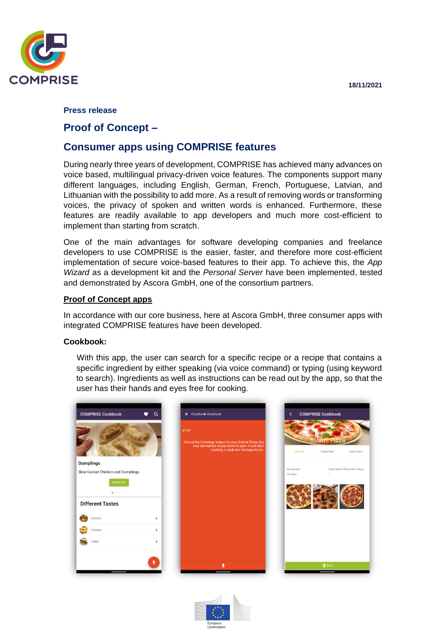**18/11/2021**



### **Press release**

## **Proof of Concept –**

# **Consumer apps using COMPRISE features**

During nearly three years of development, COMPRISE has achieved many advances on voice based, multilingual privacy-driven voice features. The components support many different languages, including English, German, French, Portuguese, Latvian, and Lithuanian with the possibility to add more. As a result of removing words or transforming voices, the privacy of spoken and written words is enhanced. Furthermore, these features are readily available to app developers and much more cost-efficient to implement than starting from scratch.

One of the main advantages for software developing companies and freelance developers to use COMPRISE is the easier, faster, and therefore more cost-efficient implementation of secure voice-based features to their app. To achieve this, the *App Wizard* as a development kit and the *Personal Server* have been implemented, tested and demonstrated by Ascora GmbH, one of the consortium partners.

### **Proof of Concept apps**

In accordance with our core business, here at Ascora GmbH, three consumer apps with integrated COMPRISE features have been developed.

### **Cookbook:**

With this app, the user can search for a specific recipe or a recipe that contains a specific ingredient by either speaking (via voice command) or typing (using keyword to search). Ingredients as well as instructions can be read out by the app, so that the user has their hands and eyes free for cooking.







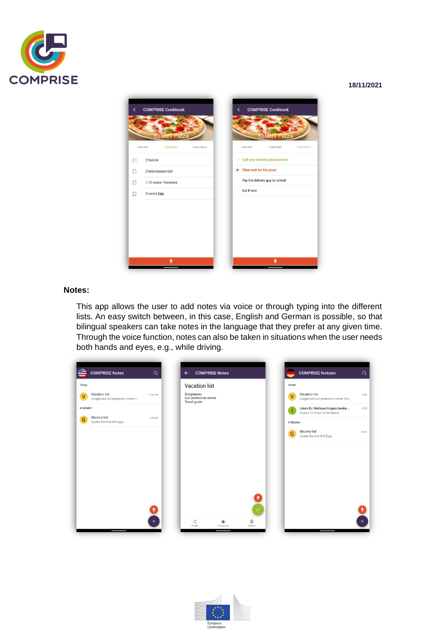

#### **18/11/2021**



#### **Notes:**

This app allows the user to add notes via voice or through typing into the different lists. An easy switch between, in this case, English and German is possible, so that bilingual speakers can take notes in the language that they prefer at any given time. Through the voice function, notes can also be taken in situations when the user needs both hands and eyes, e.g., while driving.

|           | <b>COMPRISE Notes</b>                              | $\alpha$ | <b>COMPRISE Notes</b><br>$\leftarrow$              |                             | <b>COMPRISE Notizen</b>                                       | $\alpha$ |
|-----------|----------------------------------------------------|----------|----------------------------------------------------|-----------------------------|---------------------------------------------------------------|----------|
| Today     |                                                    |          | <b>Vacation list</b>                               | Heute                       |                                                               |          |
| $\vee$    | Vacation list<br>Sunglasses Sun protection creme T | 10:45 AM | Sunglasses<br>Sun protection creme<br>Travel guide | $\vee$                      | Vacation list<br>Sunglasses Sun protection creme Trav         | 10:45    |
| 4 October |                                                    |          |                                                    | т                           | Ideen für Weihnachtsgeschenke<br>Socken für Papa Tee für Mama | 12:55    |
| G         | Grocery list<br>Apples Banana Milk Eggs            | 9:24 AM  |                                                    | 4 Oktober                   |                                                               |          |
|           |                                                    |          |                                                    | G                           | Grocery list<br>Apples Banana Milk Eggs                       | 09:24    |
|           |                                                    | $\pm$    | $\propto$<br>$\star$<br>Share<br>Favourite         | $\checkmark$<br>Ŵ<br>Delete |                                                               | $^{+}$   |

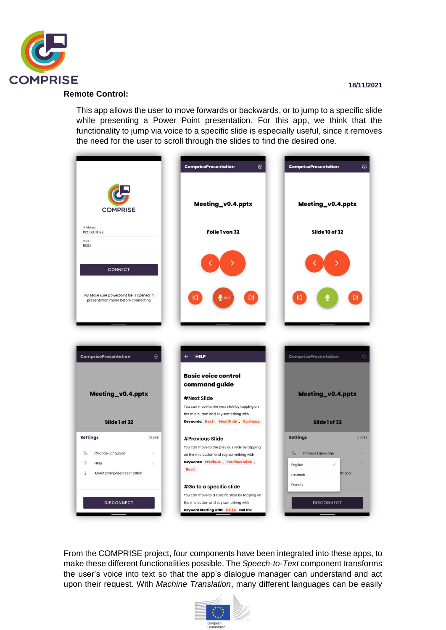

#### **Remote Control:**

This app allows the user to move forwards or backwards, or to jump to a specific slide while presenting a Power Point presentation. For this app, we think that the functionality to jump via voice to a specific slide is especially useful, since it removes the need for the user to scroll through the slides to find the desired one.



From the COMPRISE project, four components have been integrated into these apps, to make these different functionalities possible. The *Speech-to-Text* component transforms the user's voice into text so that the app's dialogue manager can understand and act upon their request. With *Machine Translation*, many different languages can be easily